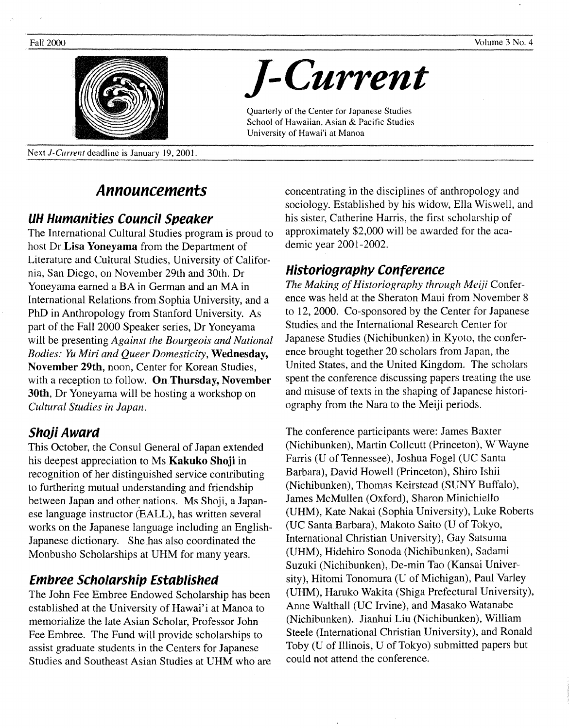

Next J-Current deadline is January 19, 2001.

# **Announcements**

## **UH Humanities Council Speaker**

The International Cultural Studies program is proud to host Dr **Lisa Yoneyama** from the Department of Literature and Cultural Studies, University of California, San Diego, on November 29th and 30th. Dr Yoneyama earned a BA in German and an MAin International Relations from Sophia University, and a PhD in Anthropology from Stanford University. As part of the Fall 2000 Speaker series, Dr Yoneyama will be presenting *Against the Bourgeois and National Bodies: Yu Miri and Queer Domesticity,* **Wednesday, November 29th,** noon, Center for Korean Studies, with a reception to follow. **On Thursday, November 30th,** Dr Yoneyama will be hosting a workshop on *Cultural Studies in Japan.* 

## **Shoji Award**

This October, the Consul General of Japan extended his deepest appreciation to Ms **Kakuko Shoji** in recognition of her distinguished service contributing to furthering mutual understanding and friendship between Japan and other nations. Ms Shoji, a Japanese language instructor (EALL), has written several works on the Japanese language including an English-Japanese dictionary. She has also coordinated the Monbusho Scholarships at UHM for many years.

# **Embree Scholarship Established**

The John Fee Embree Endowed Scholarship has been established at the University of Hawai'i at Manoa to memorialize the late Asian Scholar, Professor John Fee Embree. The Fund will provide scholarships to assist graduate students in the Centers for Japanese Studies and Southeast Asian Studies at UHM who are concentrating in the disciplines of anthropology and sociology. Established by his widow, Ella Wiswell, and his sister, Catherine Harris, the first scholarship of approximately \$2,000 will be awarded for the academic year 2001-2002.

# **Historiography Conference**

*]-Current* 

Quarterly of the Center for Japanese Studies School of Hawaiian, Asian & Pacific Studies

University of Hawai'i at Manoa

*The Making of Historiography through Meiji* Conference was held at the Sheraton Maui from November 8 to 12, 2000. Co-sponsored by the Center for Japanese Studies and the International Research Center for Japanese Studies (Nichibunken) in Kyoto, the conference brought together 20 scholars from Japan, the United States, and the United Kingdom. The scholars spent the conference discussing papers treating the use and misuse of texts in the shaping of Japanese historiography from the Nara to the Meiji periods.

The conference participants were: James Baxter (Nichibunken), Martin Collcutt (Princeton), W Wayne Farris (U of Tennessee), Joshua Fogel (UC Santa Barbara), David Howell (Princeton), Shiro Ishii (Nichibunken), Thomas Keirstead (SUNY Buffalo), James McMullen (Oxford), Sharon Minichiello (UHM), Kate Nakai (Sophia University), Luke Roberts (UC Santa Barbara), Makoto Saito (U of Tokyo, International Christian University), Gay Satsuma (UHM), Hidehiro Sonoda (Nichibunken), Sadami Suzuki (Nichibunken), De-min Tao (Kansai University), Hitomi Tonomura (U of Michigan), Paul Varley (UHM), Haruko Wakita (Shiga Prefectural University), Anne Walthall (UC Irvine), and Masako Watanabe (Nichibunken). Jianhui Liu (Nichibunken), William Steele (International Christian University), and Ronald Toby (U of Illinois, U of Tokyo) submitted papers but could not attend the conference.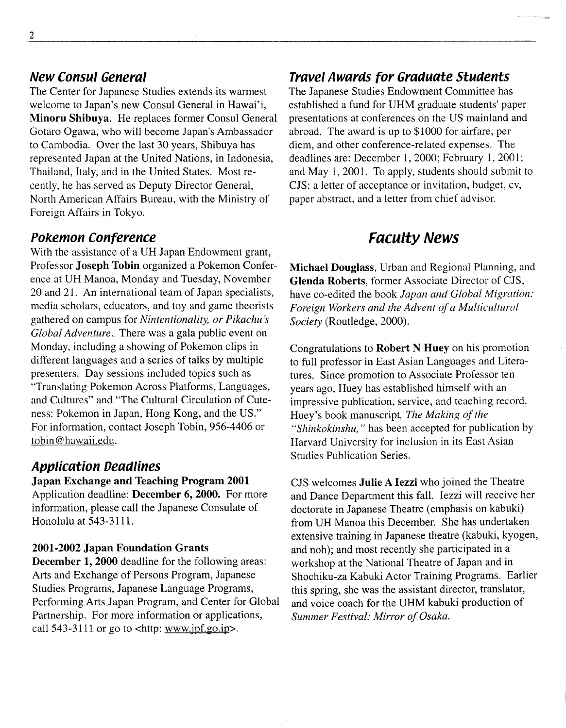## **New Consul General**

The Center for Japanese Studies extends its warmest welcome to Japan's new Consul General in Hawai'i, **Minoru Shibuya.** He replaces former Consul General Gotaro Ogawa, who will become Japan's Ambassador to Cambodia. Over the last 30 years, Shibuya has represented Japan at the United Nations, in Indonesia, Thailand, Italy, and in the United States. Most recently, he has served as Deputy Director General, North American Affairs Bureau, with the Ministry of Foreign Affairs in Tokyo.

## **Pokemon Conference**

With the assistance of a UH Japan Endowment grant, Professor **Joseph Tobin** organized a Pokemon Conference at UH Manoa, Monday and Tuesday, November 20 and 21. An international team of Japan specialists, media scholars, educators, and toy and game theorists gathered on campus for *Nintentionality, or Pikachu* s *Global Adventure.* There was a gala public event on Monday, including a showing of Pokemon clips in different languages and a series of talks by multiple presenters. Day sessions included topics such as "Translating Pokemon Across Platforms, Languages, and Cultures" and "The Cultural Circulation of Cuteness: Pokemon in Japan, Hong Kong, and the US." For information, contact Joseph Tobin, 956-4406 or tobin@ hawaii.edu.

## **Application Deadlines**

### **Japan Exchange and Teaching Program 2001**

Application deadline: **December 6, 2000.** For more information, please call the Japanese Consulate of Honolulu at 543-3111.

#### **2001-2002 Japan Foundation Grants**

**December 1, 2000** deadline for the following areas: Arts and Exchange of Persons Program, Japanese Studies Programs, Japanese Language Programs, Performing Arts Japan Program, and Center for Global Partnership. For more information or applications, call 543-3111 or go to <http: www.jpf.go.ip>.

### **Travel Awards for Graduate Students**

The Japanese Studies Endowment Committee has established a fund for UHM graduate students' paper presentations at conferences on the US mainland and abroad. The award is up to \$1000 for airfare, per diem, and other conference-related expenses. The deadlines are: December 1, 2000; February 1, 2001; and May 1, 2001. To apply, students should submit to CJS: a letter of acceptance or invitation, budget, cv, paper abstract, and a letter from chief advisor.

# **Faculty News**

**Michael Douglass,** Urban and Regional Planning, and **Glenda Roberts,** former Associate Director of CJS, have co-edited the book *Japan and Global Migration: Foreign Workers and the Advent of a Multicultural Society* (Routledge, 2000).

Congratulations to **Robert N Huey** on his promotion to full professor in East Asian Languages and Literatures. Since promotion to Associate Professor ten years ago, Huey has established himself with an impressive publication, service, and teaching record. Huey's book manuscript, *The Making of the "Shinkokinshu,"* has been accepted for publication by Harvard University for inclusion in its East Asian Studies Publication Series.

CJS welcomes **Julie A Iezzi** who joined the Theatre and Dance Department this fall. Iezzi will receive her doctorate in Japanese Theatre (emphasis on kabuki) from UH Manoa this December. She has undertaken extensive training in Japanese theatre (kabuki, kyogen, and noh); and most recently she participated in a workshop at the National Theatre of Japan and in Shochiku-za Kabuki Actor Training Programs. Earlier this spring, she was the assistant director, translator, and voice coach for the UHM kabuki production of *Summer Festival: Mirror of Osaka.*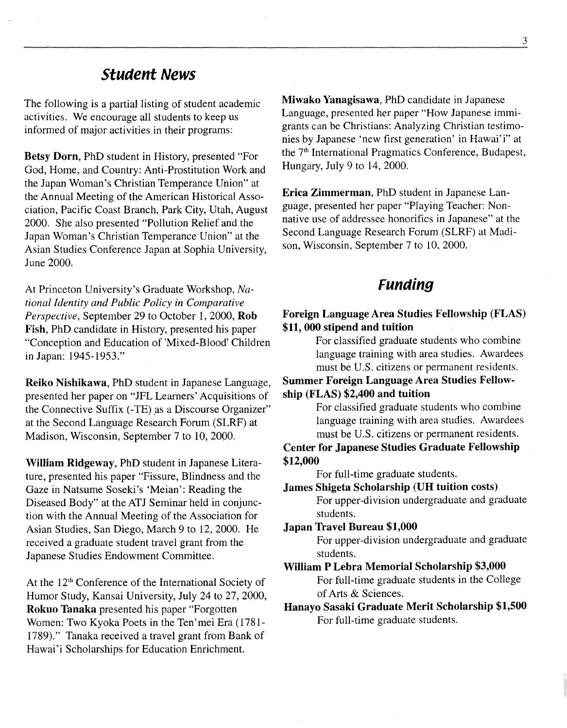# **Student News**

The following is a partial listing of student academic activities. We encourage all students to keep us informed of major activities in their programs:

Betsy Dorn, PhD student in History, presented "For God, Home, and Country: Anti-Prostitution Work and the Japan Woman's Christian Temperance Union" at the Annual Meeting of the American Historical Association, Pacific Coast Branch, Park City, Utah, August 2000. She also presented "Pollution Relief and the Japan Woman's Christian Temperance Union" at the Asian Studies Conference Japan at Sophia University, June 2000.

At Princeton University's Graduate Workshop, *National Identity and Public Policy in Comparative Perspective,* September 29 to October 1, 2000, Rob Fish, PhD candidate in History, presented his paper "Conception and Education of 'Mixed-Blood' Children in Japan: 1945-1953."

Reiko Nishikawa, PhD student in Japanese Language, presented her paper on "JFL Learners' Acquisitions of the Connective Suffix (-TE) as a Discourse Organizer" at the Second Language Research Forum (SLRF) at Madison, Wisconsin, September 7 to 10, 2000.

William Ridgeway, PhD student in Japanese Literature, presented his paper "Fissure, Blindness and the Gaze in Natsume Soseki's 'Meian': Reading the Diseased Body" at the ATJ Seminar held in conjunction with the Annual Meeting of the Association for Asian Studies, San Diego, March 9 to 12, 2000. He received a graduate student travel grant from the Japanese Studies Endowment Committee.

At the 12<sup>th</sup> Conference of the International Society of Humor Study, Kansai University, July 24 to 27, 2000, Rokuo Tanaka presented his paper "Forgotten Women: Two Kyoka Poets in the Ten'mei Era (1781- 1789)." Tanaka received a travel grant from Bank of Hawai'i Scholarships for Education Enrichment.

Miwako Yanagisawa, PhD candidate in Japanese Language, presented her paper "How Japanese immigrants can be Christians: Analyzing Christian testimonies by Japanese 'new first generation' in Hawai' i" at the 7<sup>th</sup> International Pragmatics Conference, Budapest, Hungary, July 9 to 14, 2000.

Erica Zimmerman, PhD student in Japanese Language, presented her paper "Playing Teacher: Nonnative use of addressee honorifics in Japanese" at the Second Language Research Forum (SLRF) at Madison, Wisconsin, September 7 to 10, 2000.

# **Funding**

#### Foreign Language Area Studies Fellowship (FLAS) \$11, 000 stipend and tuition

For classified graduate students who combine language training with area studies. Awardees must be U.S. citizens or permanent residents.

Summer Foreign Language Area Studies Fellowship (FLAS) \$2,400 and tuition

> For classified graduate students who combine language training with area studies. Awardees must be U.S. citizens or permanent residents.

Center for Japanese Studies Graduate Fellowship \$12,000

For full-time graduate students.

James Shigeta Scholarship (UH tuition costs) For upper-division undergraduate and graduate students.

Japan Travel Bureau \$1,000

For upper-division undergraduate and graduate students.

William P Lebra Memorial Scholarship \$3,000 For full-time graduate students in the College of Arts & Sciences.

### Hanayo Sasaki Graduate Merit Scholarship \$1,500 For full-time graduate students.